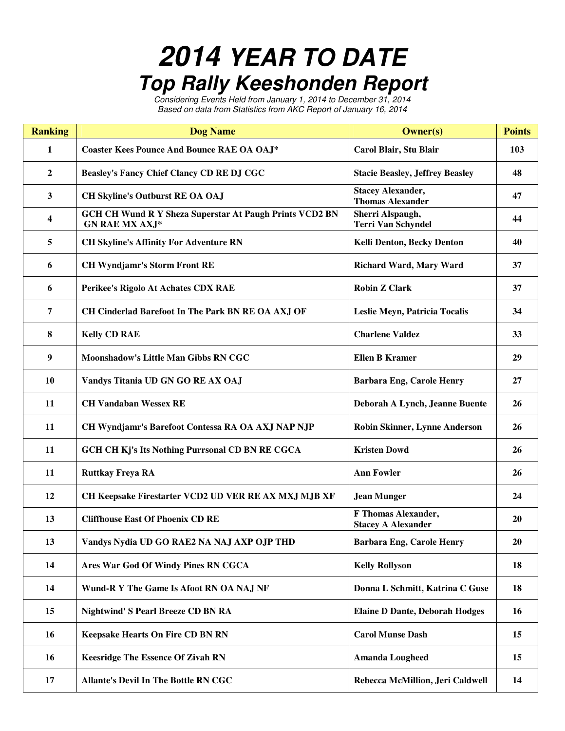## **2014 YEAR TO DATE Top Rally Keeshonden Report**

Considering Events Held from January 1, 2014 to December 31, 2014 Based on data from Statistics from AKC Report of January 16, 2014

| <b>Ranking</b> | <b>Dog Name</b>                                                                         | <b>Owner(s)</b>                                     | <b>Points</b> |
|----------------|-----------------------------------------------------------------------------------------|-----------------------------------------------------|---------------|
| 1              | <b>Coaster Kees Pounce And Bounce RAE OA OAJ*</b>                                       | Carol Blair, Stu Blair                              | 103           |
| $\mathbf{2}$   | Beasley's Fancy Chief Clancy CD RE DJ CGC                                               | <b>Stacie Beasley, Jeffrey Beasley</b>              | 48            |
| 3              | <b>CH Skyline's Outburst RE OA OAJ</b>                                                  | <b>Stacey Alexander,</b><br><b>Thomas Alexander</b> | 47            |
| 4              | <b>GCH CH Wund R Y Sheza Superstar At Paugh Prints VCD2 BN</b><br><b>GN RAE MX AXJ*</b> | Sherri Alspaugh,<br><b>Terri Van Schyndel</b>       | 44            |
| 5              | <b>CH Skyline's Affinity For Adventure RN</b>                                           | Kelli Denton, Becky Denton                          | 40            |
| 6              | <b>CH Wyndjamr's Storm Front RE</b>                                                     | <b>Richard Ward, Mary Ward</b>                      | 37            |
| 6              | Perikee's Rigolo At Achates CDX RAE                                                     | <b>Robin Z Clark</b>                                | 37            |
| 7              | CH Cinderlad Barefoot In The Park BN RE OA AXJ OF                                       | Leslie Meyn, Patricia Tocalis                       | 34            |
| 8              | <b>Kelly CD RAE</b>                                                                     | <b>Charlene Valdez</b>                              | 33            |
| 9              | Moonshadow's Little Man Gibbs RN CGC                                                    | <b>Ellen B Kramer</b>                               | 29            |
| <b>10</b>      | Vandys Titania UD GN GO RE AX OAJ                                                       | <b>Barbara Eng, Carole Henry</b>                    | 27            |
| 11             | <b>CH Vandaban Wessex RE</b>                                                            | Deborah A Lynch, Jeanne Buente                      | 26            |
| 11             | CH Wyndjamr's Barefoot Contessa RA OA AXJ NAP NJP                                       | <b>Robin Skinner, Lynne Anderson</b>                | 26            |
| 11             | GCH CH Kj's Its Nothing Purrsonal CD BN RE CGCA                                         | <b>Kristen Dowd</b>                                 | 26            |
| 11             | <b>Ruttkay Freya RA</b>                                                                 | <b>Ann Fowler</b>                                   | 26            |
| 12             | CH Keepsake Firestarter VCD2 UD VER RE AX MXJ MJB XF                                    | <b>Jean Munger</b>                                  | 24            |
| 13             | <b>Cliffhouse East Of Phoenix CD RE</b>                                                 | F Thomas Alexander,<br><b>Stacey A Alexander</b>    | 20            |
| 13             | Vandys Nydia UD GO RAE2 NA NAJ AXP OJP THD                                              | <b>Barbara Eng, Carole Henry</b>                    | 20            |
| 14             | Ares War God Of Windy Pines RN CGCA                                                     | <b>Kelly Rollyson</b>                               | 18            |
| 14             | Wund-R Y The Game Is Afoot RN OA NAJ NF                                                 | Donna L Schmitt, Katrina C Guse                     | 18            |
| 15             | <b>Nightwind' S Pearl Breeze CD BN RA</b>                                               | <b>Elaine D Dante, Deborah Hodges</b>               | 16            |
| 16             | <b>Keepsake Hearts On Fire CD BN RN</b>                                                 | <b>Carol Munse Dash</b>                             | 15            |
| 16             | <b>Keesridge The Essence Of Zivah RN</b>                                                | <b>Amanda Lougheed</b>                              | 15            |
| 17             | Allante's Devil In The Bottle RN CGC                                                    | Rebecca McMillion, Jeri Caldwell                    | 14            |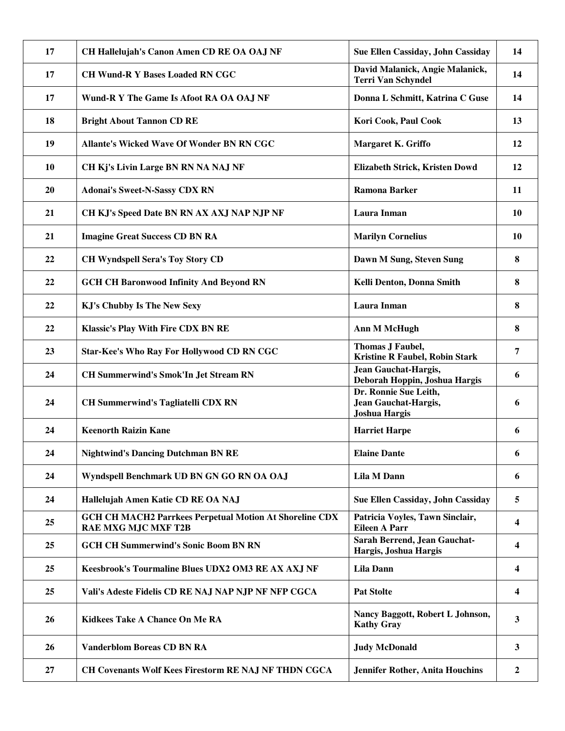| 17        | CH Hallelujah's Canon Amen CD RE OA OAJ NF                                                   | Sue Ellen Cassiday, John Cassiday                                     | 14                      |
|-----------|----------------------------------------------------------------------------------------------|-----------------------------------------------------------------------|-------------------------|
| 17        | <b>CH Wund-R Y Bases Loaded RN CGC</b>                                                       | David Malanick, Angie Malanick,<br><b>Terri Van Schyndel</b>          | 14                      |
| 17        | Wund-R Y The Game Is Afoot RA OA OAJ NF                                                      | Donna L Schmitt, Katrina C Guse                                       | 14                      |
| 18        | <b>Bright About Tannon CD RE</b>                                                             | Kori Cook, Paul Cook                                                  | 13                      |
| 19        | <b>Allante's Wicked Wave Of Wonder BN RN CGC</b>                                             | Margaret K. Griffo                                                    | 12                      |
| 10        | CH Kj's Livin Large BN RN NA NAJ NF                                                          | Elizabeth Strick, Kristen Dowd                                        | 12                      |
| <b>20</b> | <b>Adonai's Sweet-N-Sassy CDX RN</b>                                                         | <b>Ramona Barker</b>                                                  | 11                      |
| 21        | CH KJ's Speed Date BN RN AX AXJ NAP NJP NF                                                   | Laura Inman                                                           | <b>10</b>               |
| 21        | <b>Imagine Great Success CD BN RA</b>                                                        | <b>Marilyn Cornelius</b>                                              | <b>10</b>               |
| 22        | <b>CH Wyndspell Sera's Toy Story CD</b>                                                      | Dawn M Sung, Steven Sung                                              | 8                       |
| 22        | <b>GCH CH Baronwood Infinity And Beyond RN</b>                                               | Kelli Denton, Donna Smith                                             | 8                       |
| 22        | <b>KJ's Chubby Is The New Sexy</b>                                                           | Laura Inman                                                           | 8                       |
| 22        | <b>Klassic's Play With Fire CDX BN RE</b>                                                    | <b>Ann M McHugh</b>                                                   | 8                       |
| 23        | <b>Star-Kee's Who Ray For Hollywood CD RN CGC</b>                                            | Thomas J Faubel,<br><b>Kristine R Faubel, Robin Stark</b>             | 7                       |
| 24        | <b>CH Summerwind's Smok'In Jet Stream RN</b>                                                 | <b>Jean Gauchat-Hargis,</b><br>Deborah Hoppin, Joshua Hargis          | 6                       |
| 24        | <b>CH Summerwind's Tagliatelli CDX RN</b>                                                    | Dr. Ronnie Sue Leith,<br>Jean Gauchat-Hargis,<br><b>Joshua Hargis</b> | 6                       |
| 24        | <b>Keenorth Raizin Kane</b>                                                                  | <b>Harriet Harpe</b>                                                  | 6                       |
| 24        | <b>Nightwind's Dancing Dutchman BN RE</b>                                                    | <b>Elaine Dante</b>                                                   | 6                       |
| 24        | Wyndspell Benchmark UD BN GN GO RN OA OAJ                                                    | Lila M Dann                                                           | 6                       |
| 24        | Hallelujah Amen Katie CD RE OA NAJ                                                           | Sue Ellen Cassiday, John Cassiday                                     | 5                       |
| 25        | <b>GCH CH MACH2 Parrkees Perpetual Motion At Shoreline CDX</b><br><b>RAE MXG MJC MXF T2B</b> | Patricia Voyles, Tawn Sinclair,<br><b>Eileen A Parr</b>               | $\overline{\mathbf{4}}$ |
| 25        | <b>GCH CH Summerwind's Sonic Boom BN RN</b>                                                  | Sarah Berrend, Jean Gauchat-<br>Hargis, Joshua Hargis                 | 4                       |
| 25        | Keesbrook's Tourmaline Blues UDX2 OM3 RE AX AXJ NF                                           | <b>Lila Dann</b>                                                      | 4                       |
| 25        | Vali's Adeste Fidelis CD RE NAJ NAP NJP NF NFP CGCA                                          | <b>Pat Stolte</b>                                                     | 4                       |
| 26        | Kidkees Take A Chance On Me RA                                                               | Nancy Baggott, Robert L Johnson,<br><b>Kathy Gray</b>                 | 3                       |
| 26        | <b>Vanderblom Boreas CD BN RA</b>                                                            | <b>Judy McDonald</b>                                                  | 3                       |
| 27        | CH Covenants Wolf Kees Firestorm RE NAJ NF THDN CGCA                                         | <b>Jennifer Rother, Anita Houchins</b>                                | 2                       |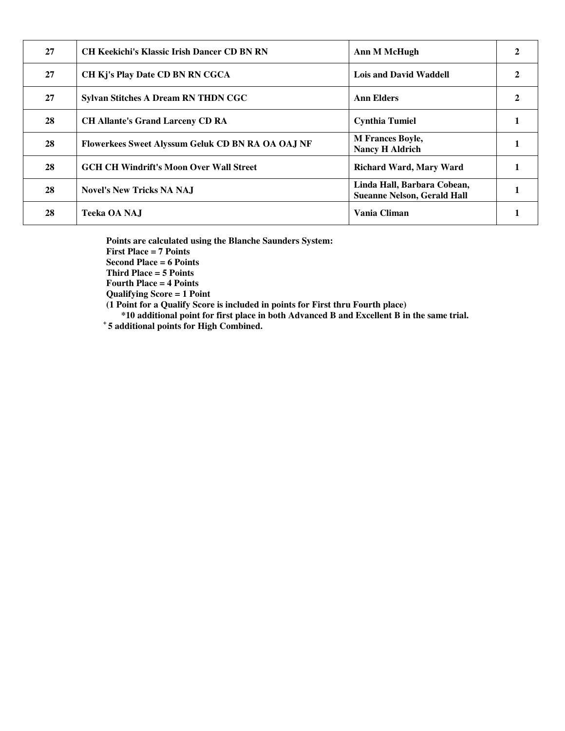| 27 | <b>CH Keekichi's Klassic Irish Dancer CD BN RN</b> | Ann M McHugh                                                      |  |
|----|----------------------------------------------------|-------------------------------------------------------------------|--|
| 27 | CH Kj's Play Date CD BN RN CGCA                    | Lois and David Waddell                                            |  |
| 27 | Sylvan Stitches A Dream RN THDN CGC                | <b>Ann Elders</b>                                                 |  |
| 28 | <b>CH Allante's Grand Larceny CD RA</b>            | <b>Cynthia Tumiel</b>                                             |  |
| 28 | Flowerkees Sweet Alyssum Geluk CD BN RA OA OAJ NF  | <b>M</b> Frances Boyle,<br><b>Nancy H Aldrich</b>                 |  |
| 28 | <b>GCH CH Windrift's Moon Over Wall Street</b>     | <b>Richard Ward, Mary Ward</b>                                    |  |
| 28 | <b>Novel's New Tricks NA NAJ</b>                   | Linda Hall, Barbara Cobean,<br><b>Sueanne Nelson, Gerald Hall</b> |  |
| 28 | Teeka OA NAJ                                       | Vania Climan                                                      |  |

**Points are calculated using the Blanche Saunders System:** 

**First Place = 7 Points** 

**Second Place = 6 Points** 

**Third Place = 5 Points** 

**Fourth Place = 4 Points Qualifying Score = 1 Point** 

**(1 Point for a Qualify Score is included in points for First thru Fourth place)** 

 **\*10 additional point for first place in both Advanced B and Excellent B in the same trial.** 

**<sup>+</sup>5 additional points for High Combined.**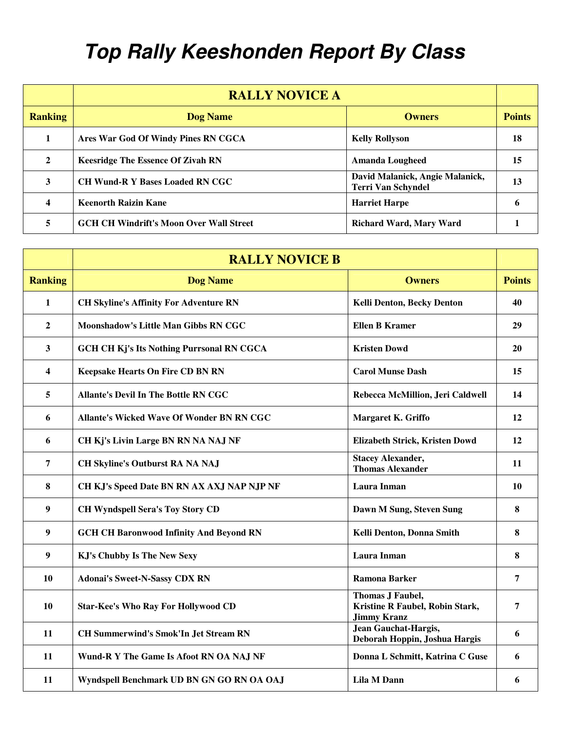## **Top Rally Keeshonden Report By Class**

|                | <b>RALLY NOVICE A</b>                          |                                                              |               |
|----------------|------------------------------------------------|--------------------------------------------------------------|---------------|
| <b>Ranking</b> | <b>Dog Name</b>                                | <b>Owners</b>                                                | <b>Points</b> |
|                | Ares War God Of Windy Pines RN CGCA            | <b>Kelly Rollyson</b>                                        | 18            |
| $\mathbf{2}$   | <b>Keesridge The Essence Of Zivah RN</b>       | <b>Amanda Lougheed</b>                                       | 15            |
| 3              | <b>CH Wund-R Y Bases Loaded RN CGC</b>         | David Malanick, Angie Malanick,<br><b>Terri Van Schyndel</b> | 13            |
| 4              | <b>Keenorth Raizin Kane</b>                    | <b>Harriet Harpe</b>                                         | h             |
| 5              | <b>GCH CH Windrift's Moon Over Wall Street</b> | <b>Richard Ward, Mary Ward</b>                               |               |

|                         | <b>RALLY NOVICE B</b>                            |                                                                           |               |
|-------------------------|--------------------------------------------------|---------------------------------------------------------------------------|---------------|
| <b>Ranking</b>          | <b>Dog Name</b>                                  | <b>Owners</b>                                                             | <b>Points</b> |
| 1                       | <b>CH Skyline's Affinity For Adventure RN</b>    | <b>Kelli Denton, Becky Denton</b>                                         | 40            |
| $\mathbf{2}$            | Moonshadow's Little Man Gibbs RN CGC             | <b>Ellen B Kramer</b>                                                     | 29            |
| 3                       | <b>GCH CH Kj's Its Nothing Purrsonal RN CGCA</b> | <b>Kristen Dowd</b>                                                       | 20            |
| $\overline{\mathbf{4}}$ | <b>Keepsake Hearts On Fire CD BN RN</b>          | <b>Carol Munse Dash</b>                                                   | 15            |
| 5                       | <b>Allante's Devil In The Bottle RN CGC</b>      | Rebecca McMillion, Jeri Caldwell                                          | 14            |
| 6                       | <b>Allante's Wicked Wave Of Wonder BN RN CGC</b> | Margaret K. Griffo                                                        | 12            |
| 6                       | CH Kj's Livin Large BN RN NA NAJ NF              | Elizabeth Strick, Kristen Dowd                                            | 12            |
| 7                       | <b>CH Skyline's Outburst RA NA NAJ</b>           | <b>Stacey Alexander,</b><br><b>Thomas Alexander</b>                       | 11            |
| 8                       | CH KJ's Speed Date BN RN AX AXJ NAP NJP NF       | Laura Inman                                                               | 10            |
| 9                       | <b>CH Wyndspell Sera's Toy Story CD</b>          | Dawn M Sung, Steven Sung                                                  | 8             |
| 9                       | <b>GCH CH Baronwood Infinity And Beyond RN</b>   | Kelli Denton, Donna Smith                                                 | 8             |
| $\boldsymbol{9}$        | <b>KJ's Chubby Is The New Sexy</b>               | Laura Inman                                                               | 8             |
| 10                      | <b>Adonai's Sweet-N-Sassy CDX RN</b>             | <b>Ramona Barker</b>                                                      | 7             |
| 10                      | <b>Star-Kee's Who Ray For Hollywood CD</b>       | Thomas J Faubel,<br>Kristine R Faubel, Robin Stark,<br><b>Jimmy Kranz</b> | 7             |
| 11                      | <b>CH Summerwind's Smok'In Jet Stream RN</b>     | <b>Jean Gauchat-Hargis,</b><br>Deborah Hoppin, Joshua Hargis              | 6             |
| 11                      | Wund-R Y The Game Is Afoot RN OA NAJ NF          | Donna L Schmitt, Katrina C Guse                                           | 6             |
| 11                      | Wyndspell Benchmark UD BN GN GO RN OA OAJ        | Lila M Dann                                                               | 6             |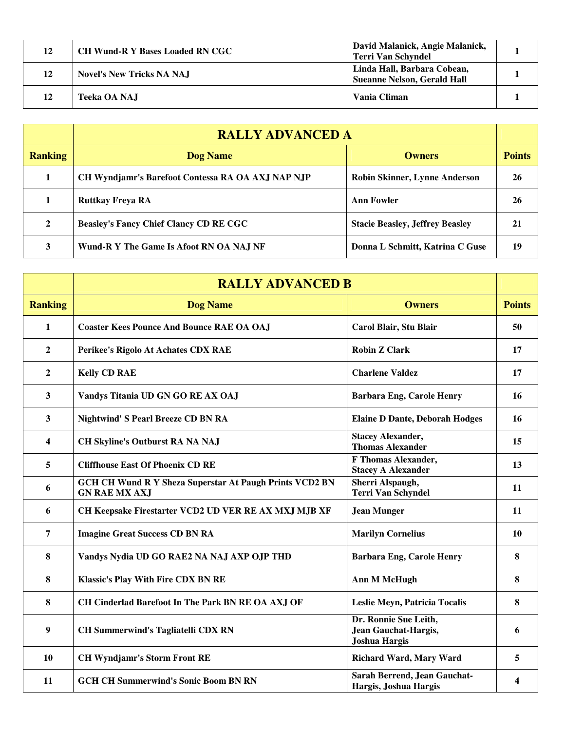| 12 | <b>CH Wund-R Y Bases Loaded RN CGC</b> | David Malanick, Angie Malanick,<br>Terri Van Schyndel             |  |
|----|----------------------------------------|-------------------------------------------------------------------|--|
| 12 | <b>Novel's New Tricks NA NAJ</b>       | Linda Hall, Barbara Cobean,<br><b>Sueanne Nelson, Gerald Hall</b> |  |
|    | Teeka OA NAJ                           | Vania Climan                                                      |  |

|                | <b>RALLY ADVANCED A</b>                           |                                        |               |
|----------------|---------------------------------------------------|----------------------------------------|---------------|
| <b>Ranking</b> | <b>Dog Name</b>                                   | <b>Owners</b>                          | <b>Points</b> |
|                | CH Wyndjamr's Barefoot Contessa RA OA AXJ NAP NJP | <b>Robin Skinner, Lynne Anderson</b>   | 26            |
|                | <b>Ruttkay Freya RA</b>                           | <b>Ann Fowler</b>                      | 26            |
| $\mathbf{2}$   | <b>Beasley's Fancy Chief Clancy CD RE CGC</b>     | <b>Stacie Beasley, Jeffrey Beasley</b> | 21            |
| 3              | Wund-R Y The Game Is Afoot RN OA NAJ NF           | Donna L Schmitt, Katrina C Guse        | 19            |

|                | <b>RALLY ADVANCED B</b>                                                                |                                                                              |               |
|----------------|----------------------------------------------------------------------------------------|------------------------------------------------------------------------------|---------------|
| <b>Ranking</b> | <b>Dog Name</b>                                                                        | <b>Owners</b>                                                                | <b>Points</b> |
| 1              | <b>Coaster Kees Pounce And Bounce RAE OA OAJ</b>                                       | Carol Blair, Stu Blair                                                       | 50            |
| $\mathbf{2}$   | Perikee's Rigolo At Achates CDX RAE                                                    | <b>Robin Z Clark</b>                                                         | 17            |
| $\overline{2}$ | <b>Kelly CD RAE</b>                                                                    | <b>Charlene Valdez</b>                                                       | 17            |
| 3              | Vandys Titania UD GN GO RE AX OAJ                                                      | <b>Barbara Eng, Carole Henry</b>                                             | 16            |
| 3              | <b>Nightwind' S Pearl Breeze CD BN RA</b>                                              | <b>Elaine D Dante, Deborah Hodges</b>                                        | 16            |
| 4              | <b>CH Skyline's Outburst RA NA NAJ</b>                                                 | <b>Stacey Alexander,</b><br><b>Thomas Alexander</b>                          | 15            |
| 5              | <b>Cliffhouse East Of Phoenix CD RE</b>                                                | <b>F Thomas Alexander,</b><br><b>Stacey A Alexander</b>                      | 13            |
| 6              | <b>GCH CH Wund R Y Sheza Superstar At Paugh Prints VCD2 BN</b><br><b>GN RAE MX AXJ</b> | Sherri Alspaugh,<br><b>Terri Van Schyndel</b>                                | 11            |
| 6              | CH Keepsake Firestarter VCD2 UD VER RE AX MXJ MJB XF                                   | <b>Jean Munger</b>                                                           | 11            |
| 7              | <b>Imagine Great Success CD BN RA</b>                                                  | <b>Marilyn Cornelius</b>                                                     | <b>10</b>     |
| 8              | Vandys Nydia UD GO RAE2 NA NAJ AXP OJP THD                                             | <b>Barbara Eng, Carole Henry</b>                                             | 8             |
| 8              | <b>Klassic's Play With Fire CDX BN RE</b>                                              | <b>Ann M McHugh</b>                                                          | 8             |
| 8              | CH Cinderlad Barefoot In The Park BN RE OA AXJ OF                                      | Leslie Meyn, Patricia Tocalis                                                | 8             |
| 9              | <b>CH Summerwind's Tagliatelli CDX RN</b>                                              | Dr. Ronnie Sue Leith,<br><b>Jean Gauchat-Hargis,</b><br><b>Joshua Hargis</b> | 6             |
| 10             | <b>CH Wyndjamr's Storm Front RE</b>                                                    | <b>Richard Ward, Mary Ward</b>                                               | 5             |
| 11             | <b>GCH CH Summerwind's Sonic Boom BN RN</b>                                            | Sarah Berrend, Jean Gauchat-<br>Hargis, Joshua Hargis                        | 4             |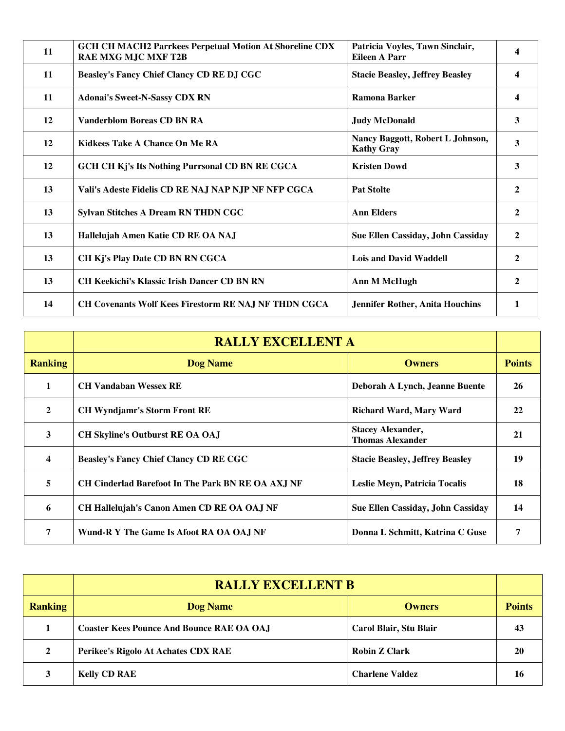| 11 | <b>GCH CH MACH2 Parrkees Perpetual Motion At Shoreline CDX</b><br><b>RAE MXG MJC MXF T2B</b> | Patricia Voyles, Tawn Sinclair,<br><b>Eileen A Parr</b> | $\overline{\mathbf{4}}$ |
|----|----------------------------------------------------------------------------------------------|---------------------------------------------------------|-------------------------|
| 11 | <b>Beasley's Fancy Chief Clancy CD RE DJ CGC</b>                                             | <b>Stacie Beasley, Jeffrey Beasley</b>                  | $\overline{\mathbf{4}}$ |
| 11 | <b>Adonai's Sweet-N-Sassy CDX RN</b>                                                         | Ramona Barker                                           | 4                       |
| 12 | <b>Vanderblom Boreas CD BN RA</b>                                                            | <b>Judy McDonald</b>                                    | 3                       |
| 12 | Kidkees Take A Chance On Me RA                                                               | Nancy Baggott, Robert L Johnson,<br><b>Kathy Gray</b>   | $\overline{\mathbf{3}}$ |
| 12 | <b>GCH CH Kj's Its Nothing Purrsonal CD BN RE CGCA</b>                                       | <b>Kristen Dowd</b>                                     | 3                       |
| 13 | Vali's Adeste Fidelis CD RE NAJ NAP NJP NF NFP CGCA                                          | <b>Pat Stolte</b>                                       | $\mathbf{2}$            |
| 13 | <b>Sylvan Stitches A Dream RN THDN CGC</b>                                                   | <b>Ann Elders</b>                                       | $\overline{2}$          |
| 13 | Hallelujah Amen Katie CD RE OA NAJ                                                           | <b>Sue Ellen Cassiday, John Cassiday</b>                | $\overline{2}$          |
| 13 | CH Kj's Play Date CD BN RN CGCA                                                              | <b>Lois and David Waddell</b>                           | $\mathbf{2}$            |
| 13 | <b>CH Keekichi's Klassic Irish Dancer CD BN RN</b>                                           | Ann M McHugh                                            | $\mathbf{2}$            |
| 14 | <b>CH Covenants Wolf Kees Firestorm RE NAJ NF THDN CGCA</b>                                  | <b>Jennifer Rother, Anita Houchins</b>                  | 1                       |

|                         | <b>RALLY EXCELLENT A</b>                                 |                                                     |               |
|-------------------------|----------------------------------------------------------|-----------------------------------------------------|---------------|
| <b>Ranking</b>          | <b>Dog Name</b>                                          | <b>Owners</b>                                       | <b>Points</b> |
| 1                       | <b>CH Vandaban Wessex RE</b>                             | Deborah A Lynch, Jeanne Buente                      | 26            |
| $\mathbf{2}$            | <b>CH Wyndjamr's Storm Front RE</b>                      | <b>Richard Ward, Mary Ward</b>                      | 22            |
| 3                       | <b>CH Skyline's Outburst RE OA OAJ</b>                   | <b>Stacey Alexander,</b><br><b>Thomas Alexander</b> | 21            |
| $\overline{\mathbf{4}}$ | <b>Beasley's Fancy Chief Clancy CD RE CGC</b>            | <b>Stacie Beasley, Jeffrey Beasley</b>              | 19            |
| 5                       | <b>CH Cinderlad Barefoot In The Park BN RE OA AXJ NF</b> | Leslie Meyn, Patricia Tocalis                       | 18            |
| 6                       | CH Hallelujah's Canon Amen CD RE OA OAJ NF               | <b>Sue Ellen Cassiday, John Cassiday</b>            | 14            |
| 7                       | Wund-R Y The Game Is Afoot RA OA OAJ NF                  | Donna L Schmitt, Katrina C Guse                     | 7             |

|                | <b>RALLY EXCELLENT B</b>                         |                        |               |
|----------------|--------------------------------------------------|------------------------|---------------|
| <b>Ranking</b> | <b>Dog Name</b>                                  | <b>Owners</b>          | <b>Points</b> |
|                | <b>Coaster Kees Pounce And Bounce RAE OA OAJ</b> | Carol Blair, Stu Blair | 43            |
| $\mathbf{2}$   | Perikee's Rigolo At Achates CDX RAE              | <b>Robin Z Clark</b>   | 20            |
| 3              | <b>Kelly CD RAE</b>                              | <b>Charlene Valdez</b> | 16            |